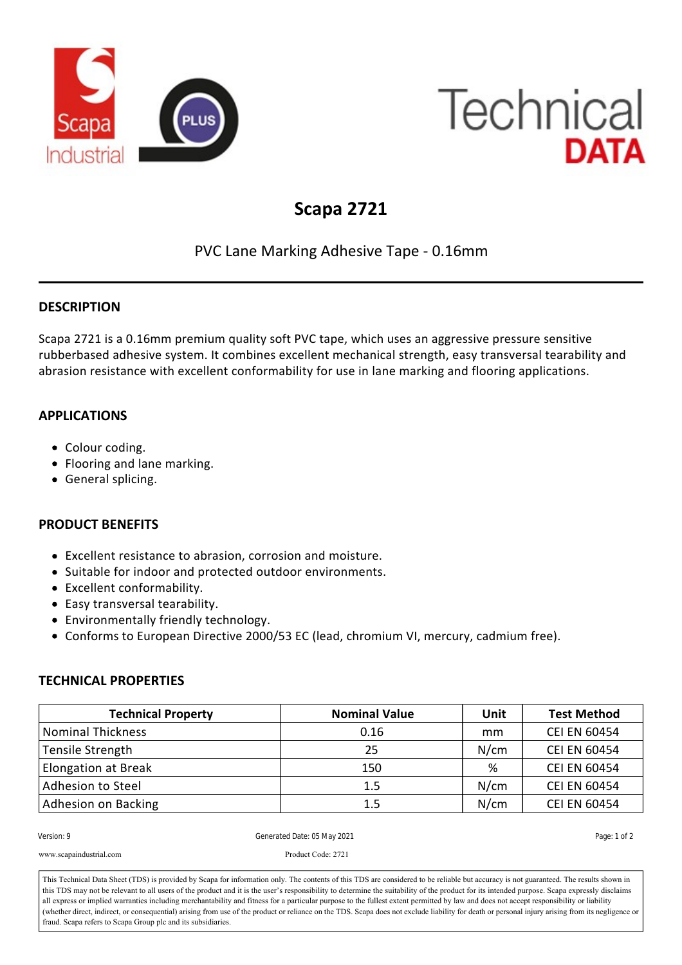

# **Technical DATA**

## **Scapa 2721**

### PVC Lane Marking Adhesive Tape ‐ 0.16mm

#### **DESCRIPTION**

Scapa 2721 is a 0.16mm premium quality soft PVC tape, which uses an aggressive pressure sensitive rubberbased adhesive system. It combines excellent mechanical strength, easy transversal tearability and abrasion resistance with excellent conformability for use in lane marking and flooring applications.

#### **APPLICATIONS**

- Colour coding.
- Flooring and lane marking.
- General splicing.

#### **PRODUCT BENEFITS**

- Excellent resistance to abrasion, corrosion and moisture.
- Suitable for indoor and protected outdoor environments.
- Excellent conformability.
- Easy transversal tearability.
- Environmentally friendly technology.

<u>Roll Width: 50, 75 and 100mm and 100mm and 100mm and 100mm and 100mm and 100mm and 100mm and 100mm and 100mm an</u>

www.scapaindustrial.com Product Code: 2721

Conforms to European Directive 2000/53 EC (lead, chromium VI, mercury, cadmium free).

#### **TECHNICAL PROPERTIES**

| <b>Technical Property</b> | <b>Nominal Value</b> | Unit | <b>Test Method</b>  |
|---------------------------|----------------------|------|---------------------|
| <b>Nominal Thickness</b>  | 0.16                 | mm   | <b>CEI EN 60454</b> |
| Tensile Strength          | 25                   | N/cm | <b>CEI EN 60454</b> |
| Elongation at Break       | 150                  | %    | <b>CEI EN 60454</b> |
| Adhesion to Steel         | 1.5                  | N/cm | <b>CEI EN 60454</b> |
| Adhesion on Backing       | 1.5                  | N/cm | <b>CEI EN 60454</b> |

| Version: 9 |  |  |
|------------|--|--|
|            |  |  |

Generated Date: 05 May 2021 **Page: 1 of 2** Generated Date: 05 May 2021

This Technical Data Sheet (TDS) is provided by Scapa for information only. The contents of this TDS are considered to be reliable but accuracy is not guaranteed. The results shown in This Technical Data Sheet (TDS) is provided by Scapa for information only. The contents of this TDS are considered to be reliable but accuracy is not guaranteed. The results shown in<br>this TDS may not be relevant to all use all express or implied warranties including merchantability and fitness for a particular purpose to the fullest extent permitted by law and does not accept responsibility or liability (whether direct, indirect, or consequential) arising from use<br>fraud. Scapa refers to Scapa Group plc and its subsidiaries. (whether direct, indirect, or consequential) arising from use of the product or reliance on the TDS. Scapa does not exclude liability for death or personal injury arising from its negligence or